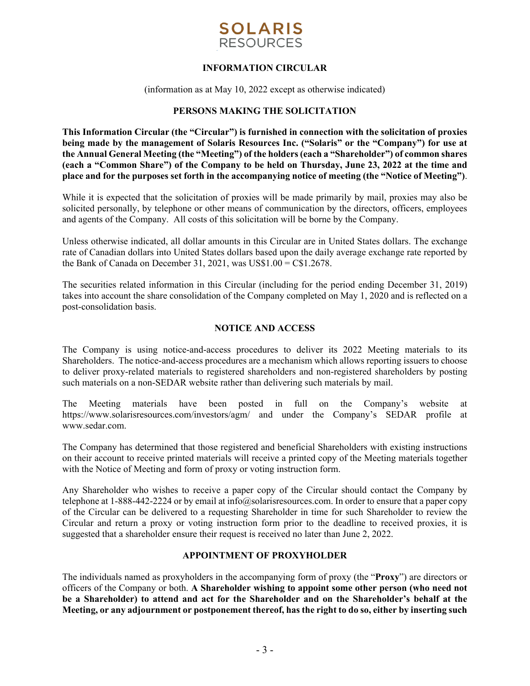

# **INFORMATION CIRCULAR**

(information as at May 10, 2022 except as otherwise indicated)

## **PERSONS MAKING THE SOLICITATION**

**This Information Circular (the "Circular") is furnished in connection with the solicitation of proxies being made by the management of Solaris Resources Inc. ("Solaris" or the "Company") for use at the Annual General Meeting (the "Meeting") of the holders (each a "Shareholder") of common shares (each a "Common Share") of the Company to be held on Thursday, June 23, 2022 at the time and place and for the purposes set forth in the accompanying notice of meeting (the "Notice of Meeting")**.

While it is expected that the solicitation of proxies will be made primarily by mail, proxies may also be solicited personally, by telephone or other means of communication by the directors, officers, employees and agents of the Company. All costs of this solicitation will be borne by the Company.

Unless otherwise indicated, all dollar amounts in this Circular are in United States dollars. The exchange rate of Canadian dollars into United States dollars based upon the daily average exchange rate reported by the Bank of Canada on December 31, 2021, was  $\text{USS}1.00 = \text{CS}1.2678$ .

The securities related information in this Circular (including for the period ending December 31, 2019) takes into account the share consolidation of the Company completed on May 1, 2020 and is reflected on a post-consolidation basis.

## **NOTICE AND ACCESS**

The Company is using notice-and-access procedures to deliver its 2022 Meeting materials to its Shareholders. The notice-and-access procedures are a mechanism which allows reporting issuers to choose to deliver proxy-related materials to registered shareholders and non-registered shareholders by posting such materials on a non-SEDAR website rather than delivering such materials by mail.

The Meeting materials have been posted in full on the Company's website at https://www.solarisresources.com/investors/agm/ and under the Company's SEDAR profile at www.sedar.com.

The Company has determined that those registered and beneficial Shareholders with existing instructions on their account to receive printed materials will receive a printed copy of the Meeting materials together with the Notice of Meeting and form of proxy or voting instruction form.

Any Shareholder who wishes to receive a paper copy of the Circular should contact the Company by telephone at 1-888-442-2224 or by email at info@solarisresources.com. In order to ensure that a paper copy of the Circular can be delivered to a requesting Shareholder in time for such Shareholder to review the Circular and return a proxy or voting instruction form prior to the deadline to received proxies, it is suggested that a shareholder ensure their request is received no later than June 2, 2022.

## **APPOINTMENT OF PROXYHOLDER**

The individuals named as proxyholders in the accompanying form of proxy (the "**Proxy**") are directors or officers of the Company or both. **A Shareholder wishing to appoint some other person (who need not be a Shareholder) to attend and act for the Shareholder and on the Shareholder's behalf at the Meeting, or any adjournment or postponement thereof, has the right to do so, either by inserting such**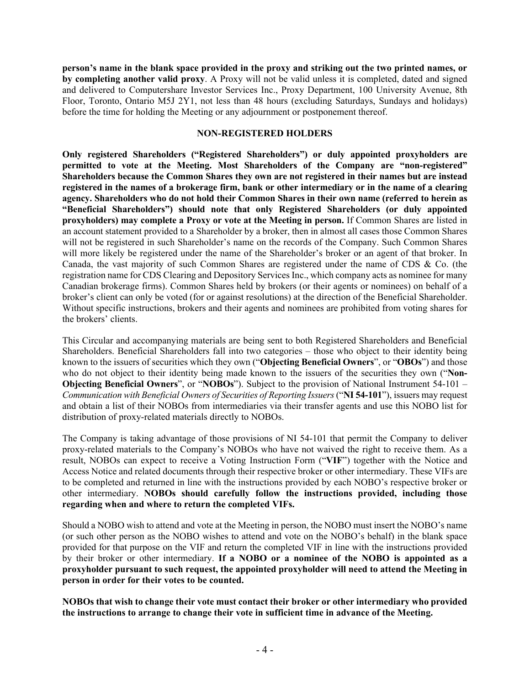**person's name in the blank space provided in the proxy and striking out the two printed names, or by completing another valid proxy**. A Proxy will not be valid unless it is completed, dated and signed and delivered to Computershare Investor Services Inc., Proxy Department, 100 University Avenue, 8th Floor, Toronto, Ontario M5J 2Y1, not less than 48 hours (excluding Saturdays, Sundays and holidays) before the time for holding the Meeting or any adjournment or postponement thereof.

#### **NON-REGISTERED HOLDERS**

**Only registered Shareholders ("Registered Shareholders") or duly appointed proxyholders are permitted to vote at the Meeting. Most Shareholders of the Company are "non-registered" Shareholders because the Common Shares they own are not registered in their names but are instead registered in the names of a brokerage firm, bank or other intermediary or in the name of a clearing agency. Shareholders who do not hold their Common Shares in their own name (referred to herein as "Beneficial Shareholders") should note that only Registered Shareholders (or duly appointed proxyholders) may complete a Proxy or vote at the Meeting in person.** If Common Shares are listed in an account statement provided to a Shareholder by a broker, then in almost all cases those Common Shares will not be registered in such Shareholder's name on the records of the Company. Such Common Shares will more likely be registered under the name of the Shareholder's broker or an agent of that broker. In Canada, the vast majority of such Common Shares are registered under the name of CDS & Co. (the registration name for CDS Clearing and Depository Services Inc., which company acts as nominee for many Canadian brokerage firms). Common Shares held by brokers (or their agents or nominees) on behalf of a broker's client can only be voted (for or against resolutions) at the direction of the Beneficial Shareholder. Without specific instructions, brokers and their agents and nominees are prohibited from voting shares for the brokers' clients.

This Circular and accompanying materials are being sent to both Registered Shareholders and Beneficial Shareholders. Beneficial Shareholders fall into two categories – those who object to their identity being known to the issuers of securities which they own ("**Objecting Beneficial Owners**", or "**OBOs**") and those who do not object to their identity being made known to the issuers of the securities they own ("**Non-Objecting Beneficial Owners**", or "**NOBOs**"). Subject to the provision of National Instrument 54-101 – *Communication with Beneficial Owners of Securities of Reporting Issuers* ("**NI 54-101**"), issuers may request and obtain a list of their NOBOs from intermediaries via their transfer agents and use this NOBO list for distribution of proxy-related materials directly to NOBOs.

The Company is taking advantage of those provisions of NI 54-101 that permit the Company to deliver proxy-related materials to the Company's NOBOs who have not waived the right to receive them. As a result, NOBOs can expect to receive a Voting Instruction Form ("**VIF**") together with the Notice and Access Notice and related documents through their respective broker or other intermediary. These VIFs are to be completed and returned in line with the instructions provided by each NOBO's respective broker or other intermediary. **NOBOs should carefully follow the instructions provided, including those regarding when and where to return the completed VIFs.** 

Should a NOBO wish to attend and vote at the Meeting in person, the NOBO must insert the NOBO's name (or such other person as the NOBO wishes to attend and vote on the NOBO's behalf) in the blank space provided for that purpose on the VIF and return the completed VIF in line with the instructions provided by their broker or other intermediary. **If a NOBO or a nominee of the NOBO is appointed as a proxyholder pursuant to such request, the appointed proxyholder will need to attend the Meeting in person in order for their votes to be counted.**

**NOBOs that wish to change their vote must contact their broker or other intermediary who provided the instructions to arrange to change their vote in sufficient time in advance of the Meeting.**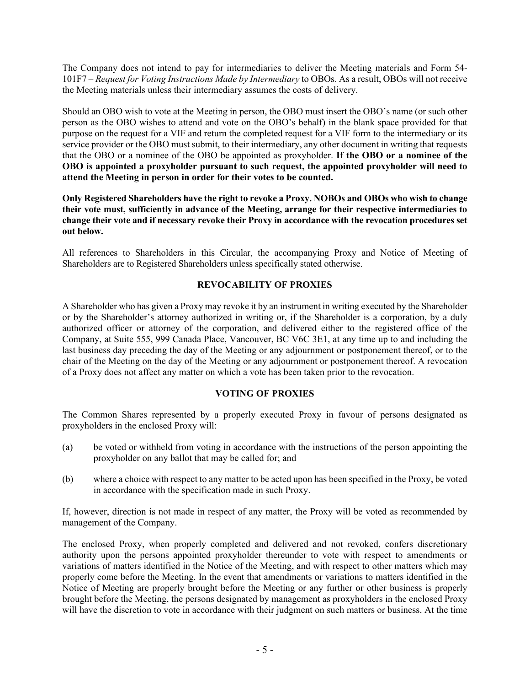The Company does not intend to pay for intermediaries to deliver the Meeting materials and Form 54- 101F7 – *Request for Voting Instructions Made by Intermediary* to OBOs. As a result, OBOs will not receive the Meeting materials unless their intermediary assumes the costs of delivery.

Should an OBO wish to vote at the Meeting in person, the OBO must insert the OBO's name (or such other person as the OBO wishes to attend and vote on the OBO's behalf) in the blank space provided for that purpose on the request for a VIF and return the completed request for a VIF form to the intermediary or its service provider or the OBO must submit, to their intermediary, any other document in writing that requests that the OBO or a nominee of the OBO be appointed as proxyholder. **If the OBO or a nominee of the OBO is appointed a proxyholder pursuant to such request, the appointed proxyholder will need to attend the Meeting in person in order for their votes to be counted.**

**Only Registered Shareholders have the right to revoke a Proxy. NOBOs and OBOs who wish to change their vote must, sufficiently in advance of the Meeting, arrange for their respective intermediaries to change their vote and if necessary revoke their Proxy in accordance with the revocation procedures set out below.** 

All references to Shareholders in this Circular, the accompanying Proxy and Notice of Meeting of Shareholders are to Registered Shareholders unless specifically stated otherwise.

# **REVOCABILITY OF PROXIES**

A Shareholder who has given a Proxy may revoke it by an instrument in writing executed by the Shareholder or by the Shareholder's attorney authorized in writing or, if the Shareholder is a corporation, by a duly authorized officer or attorney of the corporation, and delivered either to the registered office of the Company, at Suite 555, 999 Canada Place, Vancouver, BC V6C 3E1, at any time up to and including the last business day preceding the day of the Meeting or any adjournment or postponement thereof, or to the chair of the Meeting on the day of the Meeting or any adjournment or postponement thereof. A revocation of a Proxy does not affect any matter on which a vote has been taken prior to the revocation.

# **VOTING OF PROXIES**

The Common Shares represented by a properly executed Proxy in favour of persons designated as proxyholders in the enclosed Proxy will:

- (a) be voted or withheld from voting in accordance with the instructions of the person appointing the proxyholder on any ballot that may be called for; and
- (b) where a choice with respect to any matter to be acted upon has been specified in the Proxy, be voted in accordance with the specification made in such Proxy.

If, however, direction is not made in respect of any matter, the Proxy will be voted as recommended by management of the Company.

The enclosed Proxy, when properly completed and delivered and not revoked, confers discretionary authority upon the persons appointed proxyholder thereunder to vote with respect to amendments or variations of matters identified in the Notice of the Meeting, and with respect to other matters which may properly come before the Meeting. In the event that amendments or variations to matters identified in the Notice of Meeting are properly brought before the Meeting or any further or other business is properly brought before the Meeting, the persons designated by management as proxyholders in the enclosed Proxy will have the discretion to vote in accordance with their judgment on such matters or business. At the time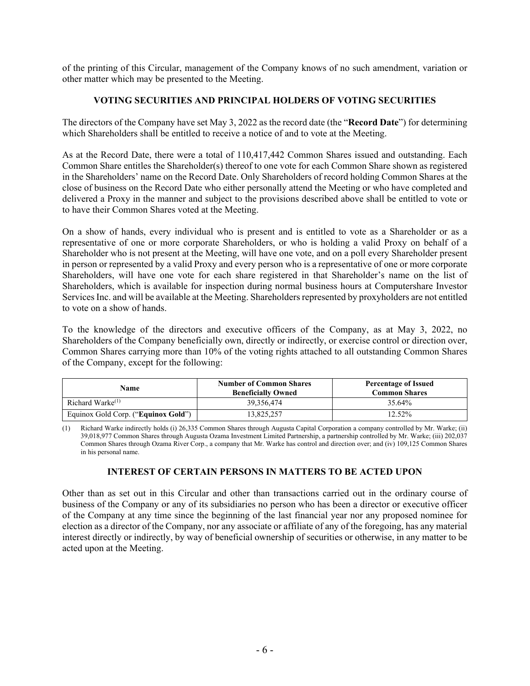of the printing of this Circular, management of the Company knows of no such amendment, variation or other matter which may be presented to the Meeting.

# **VOTING SECURITIES AND PRINCIPAL HOLDERS OF VOTING SECURITIES**

The directors of the Company have set May 3, 2022 as the record date (the "**Record Date**") for determining which Shareholders shall be entitled to receive a notice of and to vote at the Meeting.

As at the Record Date, there were a total of 110,417,442 Common Shares issued and outstanding. Each Common Share entitles the Shareholder(s) thereof to one vote for each Common Share shown as registered in the Shareholders' name on the Record Date. Only Shareholders of record holding Common Shares at the close of business on the Record Date who either personally attend the Meeting or who have completed and delivered a Proxy in the manner and subject to the provisions described above shall be entitled to vote or to have their Common Shares voted at the Meeting.

On a show of hands, every individual who is present and is entitled to vote as a Shareholder or as a representative of one or more corporate Shareholders, or who is holding a valid Proxy on behalf of a Shareholder who is not present at the Meeting, will have one vote, and on a poll every Shareholder present in person or represented by a valid Proxy and every person who is a representative of one or more corporate Shareholders, will have one vote for each share registered in that Shareholder's name on the list of Shareholders, which is available for inspection during normal business hours at Computershare Investor Services Inc. and will be available at the Meeting. Shareholders represented by proxyholders are not entitled to vote on a show of hands.

To the knowledge of the directors and executive officers of the Company, as at May 3, 2022, no Shareholders of the Company beneficially own, directly or indirectly, or exercise control or direction over, Common Shares carrying more than 10% of the voting rights attached to all outstanding Common Shares of the Company, except for the following:

| Name                                | <b>Number of Common Shares</b><br><b>Beneficially Owned</b> | <b>Percentage of Issued</b><br><b>Common Shares</b> |  |  |
|-------------------------------------|-------------------------------------------------------------|-----------------------------------------------------|--|--|
| Richard Warke $(1)$                 | 39.356.474                                                  | 35.64%                                              |  |  |
| Equinox Gold Corp. ("Equinox Gold") | 13,825,257                                                  | 12.52%                                              |  |  |

(1) Richard Warke indirectly holds (i) 26,335 Common Shares through Augusta Capital Corporation a company controlled by Mr. Warke; (ii) 39,018,977 Common Shares through Augusta Ozama Investment Limited Partnership, a partnership controlled by Mr. Warke; (iii) 202,037 Common Shares through Ozama River Corp., a company that Mr. Warke has control and direction over; and (iv) 109,125 Common Shares in his personal name.

# **INTEREST OF CERTAIN PERSONS IN MATTERS TO BE ACTED UPON**

Other than as set out in this Circular and other than transactions carried out in the ordinary course of business of the Company or any of its subsidiaries no person who has been a director or executive officer of the Company at any time since the beginning of the last financial year nor any proposed nominee for election as a director of the Company, nor any associate or affiliate of any of the foregoing, has any material interest directly or indirectly, by way of beneficial ownership of securities or otherwise, in any matter to be acted upon at the Meeting.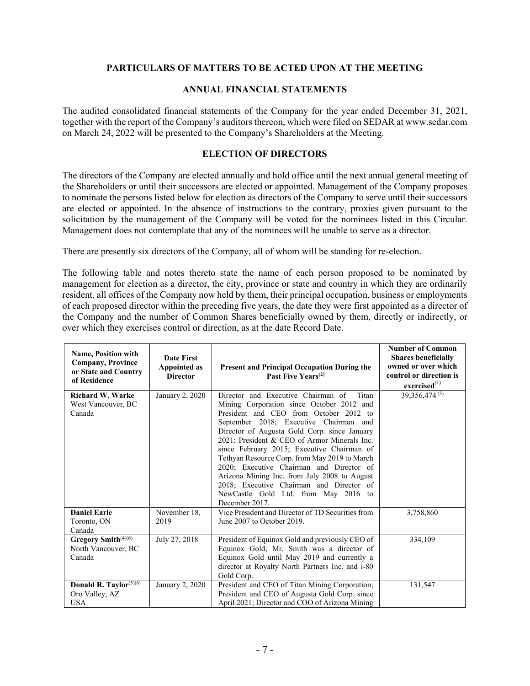## **PARTICULARS OF MATTERS TO BE ACTED UPON AT THE MEETING**

#### **ANNUAL FINANCIAL STATEMENTS**

The audited consolidated financial statements of the Company for the year ended December 31, 2021, together with the report of the Company's auditors thereon, which were filed on SEDAR at www.sedar.com on March 24, 2022 will be presented to the Company's Shareholders at the Meeting.

#### **ELECTION OF DIRECTORS**

The directors of the Company are elected annually and hold office until the next annual general meeting of the Shareholders or until their successors are elected or appointed. Management of the Company proposes to nominate the persons listed below for election as directors of the Company to serve until their successors are elected or appointed. In the absence of instructions to the contrary, proxies given pursuant to the solicitation by the management of the Company will be voted for the nominees listed in this Circular. Management does not contemplate that any of the nominees will be unable to serve as a director.

There are presently six directors of the Company, all of whom will be standing for re-election.

The following table and notes thereto state the name of each person proposed to be nominated by management for election as a director, the city, province or state and country in which they are ordinarily resident, all offices of the Company now held by them, their principal occupation, business or employments of each proposed director within the preceding five years, the date they were first appointed as a director of the Company and the number of Common Shares beneficially owned by them, directly or indirectly, or over which they exercises control or direction, as at the date Record Date.

| <b>Name, Position with</b><br><b>Company, Province</b><br>or State and Country<br>of Residence | <b>Date First</b><br><b>Appointed as</b><br><b>Director</b> | <b>Present and Principal Occupation During the</b><br>Past Five Years <sup>(2)</sup>                                                                                                                                                                                                                                                                                                                                                                                                                                                                                          | <b>Number of Common</b><br><b>Shares beneficially</b><br>owned or over which<br>control or direction is<br>$excised$ <sup>(1)</sup> |
|------------------------------------------------------------------------------------------------|-------------------------------------------------------------|-------------------------------------------------------------------------------------------------------------------------------------------------------------------------------------------------------------------------------------------------------------------------------------------------------------------------------------------------------------------------------------------------------------------------------------------------------------------------------------------------------------------------------------------------------------------------------|-------------------------------------------------------------------------------------------------------------------------------------|
| <b>Richard W. Warke</b><br>West Vancouver, BC<br>Canada                                        | January 2, 2020                                             | Director and Executive Chairman of<br>Titan<br>Mining Corporation since October 2012 and<br>President and CEO from October 2012 to<br>September 2018; Executive Chairman and<br>Director of Augusta Gold Corp. since January<br>2021; President & CEO of Armor Minerals Inc.<br>since February 2015; Executive Chairman of<br>Tethyan Resource Corp. from May 2019 to March<br>2020; Executive Chairman and Director of<br>Arizona Mining Inc. from July 2008 to August<br>2018; Executive Chairman and Director of<br>NewCastle Gold Ltd. from May 2016 to<br>December 2017. | 39,356,474 $(3)$                                                                                                                    |
| <b>Daniel Earle</b><br>Toronto, ON<br>Canada                                                   | November 18,<br>2019                                        | Vice President and Director of TD Securities from<br>June 2007 to October 2019.                                                                                                                                                                                                                                                                                                                                                                                                                                                                                               | 3,758,860                                                                                                                           |
| Gregory Smith <sup>(4)(6)</sup><br>North Vancouver, BC<br>Canada                               | July 27, 2018                                               | President of Equinox Gold and previously CEO of<br>Equinox Gold; Mr. Smith was a director of<br>Equinox Gold until May 2019 and currently a<br>director at Royalty North Partners Inc. and i-80<br>Gold Corp.                                                                                                                                                                                                                                                                                                                                                                 | 334,109                                                                                                                             |
| Donald R. Taylor $(5)(6)$<br>Oro Valley, AZ<br><b>USA</b>                                      | January 2, 2020                                             | President and CEO of Titan Mining Corporation;<br>President and CEO of Augusta Gold Corp. since<br>April 2021; Director and COO of Arizona Mining                                                                                                                                                                                                                                                                                                                                                                                                                             | 131,547                                                                                                                             |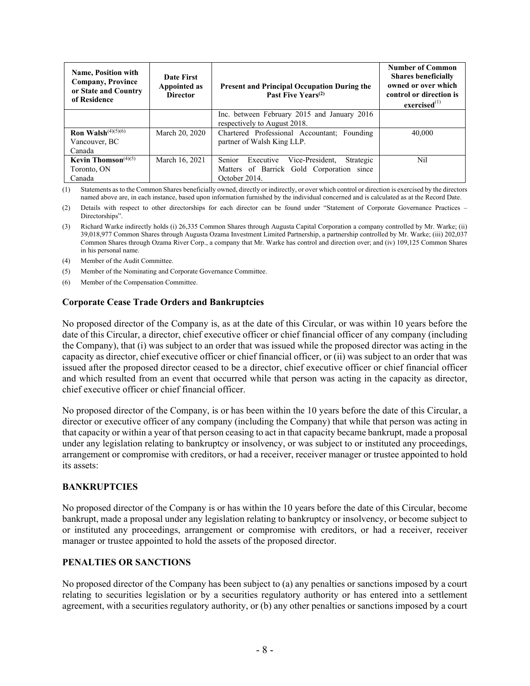| <b>Name, Position with</b><br><b>Company, Province</b><br>or State and Country<br>of Residence | Date First<br><b>Appointed as</b><br><b>Director</b> | Present and Principal Occupation During the<br>Past Five Years <sup>(2)</sup>                                     | <b>Number of Common</b><br><b>Shares beneficially</b><br>owned or over which<br>control or direction is<br>exercised <sup>(1)</sup> |
|------------------------------------------------------------------------------------------------|------------------------------------------------------|-------------------------------------------------------------------------------------------------------------------|-------------------------------------------------------------------------------------------------------------------------------------|
|                                                                                                |                                                      | Inc. between February 2015 and January 2016<br>respectively to August 2018.                                       |                                                                                                                                     |
| <b>Ron Walsh</b> $(4)(5)(6)$<br>Vancouver, BC<br>Canada                                        | March 20, 2020                                       | Chartered Professional Accountant; Founding<br>partner of Walsh King LLP.                                         | 40,000                                                                                                                              |
| Kevin Thomson <sup><math>(4)(5)</math></sup><br>Toronto, ON<br>Canada                          | March 16, 2021                                       | Senior<br>Vice-President,<br>Strategic<br>Executive<br>Matters of Barrick Gold Corporation since<br>October 2014. | Nil                                                                                                                                 |

(1) Statements as to the Common Shares beneficially owned, directly or indirectly, or over which control or direction is exercised by the directors named above are, in each instance, based upon information furnished by the individual concerned and is calculated as at the Record Date.

(2) Details with respect to other directorships for each director can be found under "Statement of Corporate Governance Practices – Directorships".

- (3) Richard Warke indirectly holds (i) 26,335 Common Shares through Augusta Capital Corporation a company controlled by Mr. Warke; (ii) 39,018,977 Common Shares through Augusta Ozama Investment Limited Partnership, a partnership controlled by Mr. Warke; (iii) 202,037 Common Shares through Ozama River Corp., a company that Mr. Warke has control and direction over; and (iv) 109,125 Common Shares in his personal name.
- (4) Member of the Audit Committee.
- (5) Member of the Nominating and Corporate Governance Committee.
- (6) Member of the Compensation Committee.

#### **Corporate Cease Trade Orders and Bankruptcies**

No proposed director of the Company is, as at the date of this Circular, or was within 10 years before the date of this Circular, a director, chief executive officer or chief financial officer of any company (including the Company), that (i) was subject to an order that was issued while the proposed director was acting in the capacity as director, chief executive officer or chief financial officer, or (ii) was subject to an order that was issued after the proposed director ceased to be a director, chief executive officer or chief financial officer and which resulted from an event that occurred while that person was acting in the capacity as director, chief executive officer or chief financial officer.

No proposed director of the Company, is or has been within the 10 years before the date of this Circular, a director or executive officer of any company (including the Company) that while that person was acting in that capacity or within a year of that person ceasing to act in that capacity became bankrupt, made a proposal under any legislation relating to bankruptcy or insolvency, or was subject to or instituted any proceedings, arrangement or compromise with creditors, or had a receiver, receiver manager or trustee appointed to hold its assets:

## **BANKRUPTCIES**

No proposed director of the Company is or has within the 10 years before the date of this Circular, become bankrupt, made a proposal under any legislation relating to bankruptcy or insolvency, or become subject to or instituted any proceedings, arrangement or compromise with creditors, or had a receiver, receiver manager or trustee appointed to hold the assets of the proposed director.

## **PENALTIES OR SANCTIONS**

No proposed director of the Company has been subject to (a) any penalties or sanctions imposed by a court relating to securities legislation or by a securities regulatory authority or has entered into a settlement agreement, with a securities regulatory authority, or (b) any other penalties or sanctions imposed by a court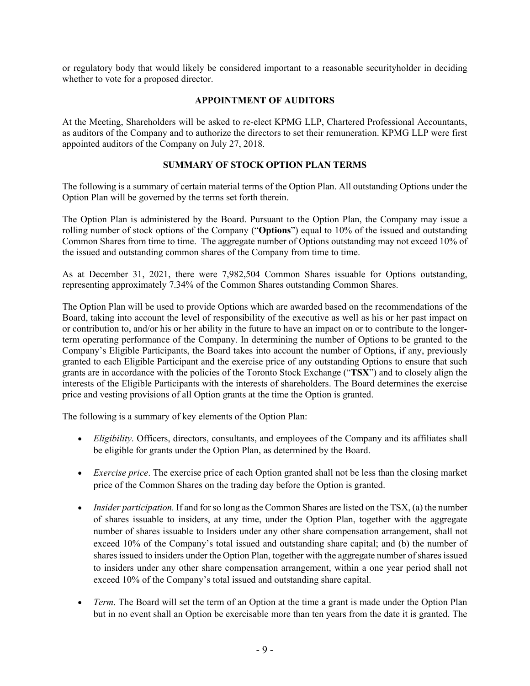or regulatory body that would likely be considered important to a reasonable securityholder in deciding whether to vote for a proposed director.

# **APPOINTMENT OF AUDITORS**

At the Meeting, Shareholders will be asked to re-elect KPMG LLP, Chartered Professional Accountants, as auditors of the Company and to authorize the directors to set their remuneration. KPMG LLP were first appointed auditors of the Company on July 27, 2018.

# **SUMMARY OF STOCK OPTION PLAN TERMS**

The following is a summary of certain material terms of the Option Plan. All outstanding Options under the Option Plan will be governed by the terms set forth therein.

The Option Plan is administered by the Board. Pursuant to the Option Plan, the Company may issue a rolling number of stock options of the Company ("**Options**") equal to 10% of the issued and outstanding Common Shares from time to time. The aggregate number of Options outstanding may not exceed 10% of the issued and outstanding common shares of the Company from time to time.

As at December 31, 2021, there were 7,982,504 Common Shares issuable for Options outstanding, representing approximately 7.34% of the Common Shares outstanding Common Shares.

The Option Plan will be used to provide Options which are awarded based on the recommendations of the Board, taking into account the level of responsibility of the executive as well as his or her past impact on or contribution to, and/or his or her ability in the future to have an impact on or to contribute to the longerterm operating performance of the Company. In determining the number of Options to be granted to the Company's Eligible Participants, the Board takes into account the number of Options, if any, previously granted to each Eligible Participant and the exercise price of any outstanding Options to ensure that such grants are in accordance with the policies of the Toronto Stock Exchange ("**TSX**") and to closely align the interests of the Eligible Participants with the interests of shareholders. The Board determines the exercise price and vesting provisions of all Option grants at the time the Option is granted.

The following is a summary of key elements of the Option Plan:

- *Eligibility*. Officers, directors, consultants, and employees of the Company and its affiliates shall be eligible for grants under the Option Plan, as determined by the Board.
- *Exercise price*. The exercise price of each Option granted shall not be less than the closing market price of the Common Shares on the trading day before the Option is granted.
- *Insider participation.* If and for so long as the Common Shares are listed on the TSX, (a) the number of shares issuable to insiders, at any time, under the Option Plan, together with the aggregate number of shares issuable to Insiders under any other share compensation arrangement, shall not exceed 10% of the Company's total issued and outstanding share capital; and (b) the number of shares issued to insiders under the Option Plan, together with the aggregate number of shares issued to insiders under any other share compensation arrangement, within a one year period shall not exceed 10% of the Company's total issued and outstanding share capital.
- *Term*. The Board will set the term of an Option at the time a grant is made under the Option Plan but in no event shall an Option be exercisable more than ten years from the date it is granted. The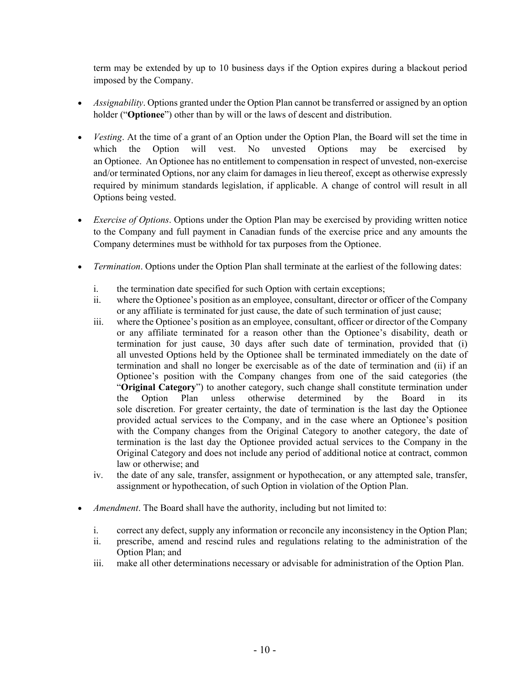term may be extended by up to 10 business days if the Option expires during a blackout period imposed by the Company.

- *Assignability*. Options granted under the Option Plan cannot be transferred or assigned by an option holder ("**Optionee**") other than by will or the laws of descent and distribution.
- *Vesting*. At the time of a grant of an Option under the Option Plan, the Board will set the time in which the Option will vest. No unvested Options may be exercised by an Optionee. An Optionee has no entitlement to compensation in respect of unvested, non-exercise and/or terminated Options, nor any claim for damages in lieu thereof, except as otherwise expressly required by minimum standards legislation, if applicable. A change of control will result in all Options being vested.
- *Exercise of Options*. Options under the Option Plan may be exercised by providing written notice to the Company and full payment in Canadian funds of the exercise price and any amounts the Company determines must be withhold for tax purposes from the Optionee.
- *Termination*. Options under the Option Plan shall terminate at the earliest of the following dates:
	- i. the termination date specified for such Option with certain exceptions;
	- ii. where the Optionee's position as an employee, consultant, director or officer of the Company or any affiliate is terminated for just cause, the date of such termination of just cause;
	- iii. where the Optionee's position as an employee, consultant, officer or director of the Company or any affiliate terminated for a reason other than the Optionee's disability, death or termination for just cause, 30 days after such date of termination, provided that (i) all unvested Options held by the Optionee shall be terminated immediately on the date of termination and shall no longer be exercisable as of the date of termination and (ii) if an Optionee's position with the Company changes from one of the said categories (the "**Original Category**") to another category, such change shall constitute termination under the Option Plan unless otherwise determined by the Board in its sole discretion. For greater certainty, the date of termination is the last day the Optionee provided actual services to the Company, and in the case where an Optionee's position with the Company changes from the Original Category to another category, the date of termination is the last day the Optionee provided actual services to the Company in the Original Category and does not include any period of additional notice at contract, common law or otherwise; and
	- iv. the date of any sale, transfer, assignment or hypothecation, or any attempted sale, transfer, assignment or hypothecation, of such Option in violation of the Option Plan.
- *Amendment*. The Board shall have the authority, including but not limited to:
	- i. correct any defect, supply any information or reconcile any inconsistency in the Option Plan;
	- ii. prescribe, amend and rescind rules and regulations relating to the administration of the Option Plan; and
	- iii. make all other determinations necessary or advisable for administration of the Option Plan.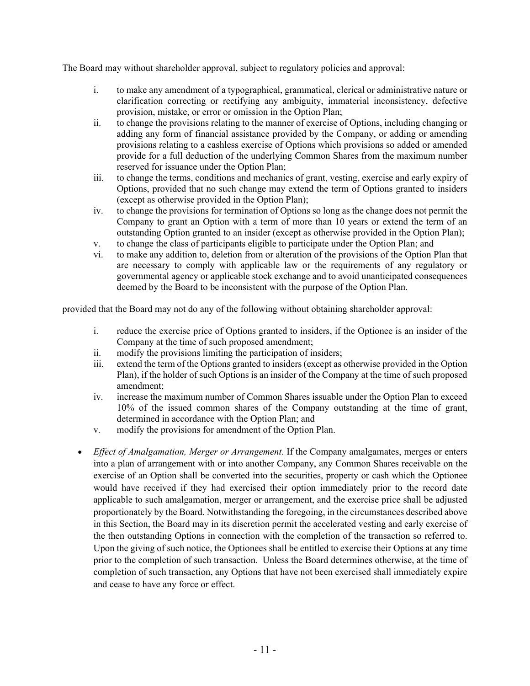The Board may without shareholder approval, subject to regulatory policies and approval:

- i. to make any amendment of a typographical, grammatical, clerical or administrative nature or clarification correcting or rectifying any ambiguity, immaterial inconsistency, defective provision, mistake, or error or omission in the Option Plan;
- ii. to change the provisions relating to the manner of exercise of Options, including changing or adding any form of financial assistance provided by the Company, or adding or amending provisions relating to a cashless exercise of Options which provisions so added or amended provide for a full deduction of the underlying Common Shares from the maximum number reserved for issuance under the Option Plan;
- iii. to change the terms, conditions and mechanics of grant, vesting, exercise and early expiry of Options, provided that no such change may extend the term of Options granted to insiders (except as otherwise provided in the Option Plan);
- iv. to change the provisions for termination of Options so long as the change does not permit the Company to grant an Option with a term of more than 10 years or extend the term of an outstanding Option granted to an insider (except as otherwise provided in the Option Plan);
- v. to change the class of participants eligible to participate under the Option Plan; and
- vi. to make any addition to, deletion from or alteration of the provisions of the Option Plan that are necessary to comply with applicable law or the requirements of any regulatory or governmental agency or applicable stock exchange and to avoid unanticipated consequences deemed by the Board to be inconsistent with the purpose of the Option Plan.

provided that the Board may not do any of the following without obtaining shareholder approval:

- i. reduce the exercise price of Options granted to insiders, if the Optionee is an insider of the Company at the time of such proposed amendment;
- ii. modify the provisions limiting the participation of insiders;
- iii. extend the term of the Options granted to insiders (except as otherwise provided in the Option Plan), if the holder of such Options is an insider of the Company at the time of such proposed amendment;
- iv. increase the maximum number of Common Shares issuable under the Option Plan to exceed 10% of the issued common shares of the Company outstanding at the time of grant, determined in accordance with the Option Plan; and
- v. modify the provisions for amendment of the Option Plan.
- *Effect of Amalgamation, Merger or Arrangement*. If the Company amalgamates, merges or enters into a plan of arrangement with or into another Company, any Common Shares receivable on the exercise of an Option shall be converted into the securities, property or cash which the Optionee would have received if they had exercised their option immediately prior to the record date applicable to such amalgamation, merger or arrangement, and the exercise price shall be adjusted proportionately by the Board. Notwithstanding the foregoing, in the circumstances described above in this Section, the Board may in its discretion permit the accelerated vesting and early exercise of the then outstanding Options in connection with the completion of the transaction so referred to. Upon the giving of such notice, the Optionees shall be entitled to exercise their Options at any time prior to the completion of such transaction. Unless the Board determines otherwise, at the time of completion of such transaction, any Options that have not been exercised shall immediately expire and cease to have any force or effect.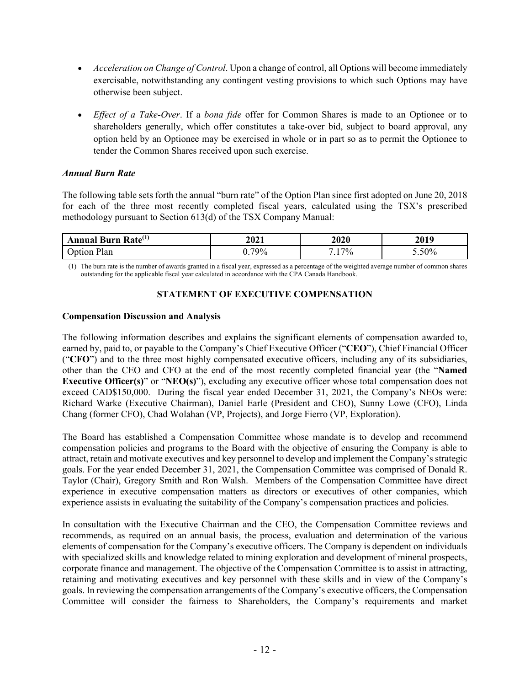- *Acceleration on Change of Control*. Upon a change of control, all Options will become immediately exercisable, notwithstanding any contingent vesting provisions to which such Options may have otherwise been subject.
- *Effect of a Take-Over*. If a *bona fide* offer for Common Shares is made to an Optionee or to shareholders generally, which offer constitutes a take-over bid, subject to board approval, any option held by an Optionee may be exercised in whole or in part so as to permit the Optionee to tender the Common Shares received upon such exercise.

## *Annual Burn Rate*

The following table sets forth the annual "burn rate" of the Option Plan since first adopted on June 20, 2018 for each of the three most recently completed fiscal years, calculated using the TSX's prescribed methodology pursuant to Section 613(d) of the TSX Company Manual:

| Burn Rate <sup>(1)</sup><br>Annual | 2021       | 2020 | 2019     |
|------------------------------------|------------|------|----------|
| Plan<br>Jotion                     | 79%<br>v., | 17%  | $5.50\%$ |

(1) The burn rate is the number of awards granted in a fiscal year, expressed as a percentage of the weighted average number of common shares outstanding for the applicable fiscal year calculated in accordance with the CPA Canada Handbook.

# **STATEMENT OF EXECUTIVE COMPENSATION**

## **Compensation Discussion and Analysis**

The following information describes and explains the significant elements of compensation awarded to, earned by, paid to, or payable to the Company's Chief Executive Officer ("**CEO**"), Chief Financial Officer ("**CFO**") and to the three most highly compensated executive officers, including any of its subsidiaries, other than the CEO and CFO at the end of the most recently completed financial year (the "**Named Executive Officer(s)**" or "**NEO(s)**"), excluding any executive officer whose total compensation does not exceed CAD\$150,000. During the fiscal year ended December 31, 2021, the Company's NEOs were: Richard Warke (Executive Chairman), Daniel Earle (President and CEO), Sunny Lowe (CFO), Linda Chang (former CFO), Chad Wolahan (VP, Projects), and Jorge Fierro (VP, Exploration).

The Board has established a Compensation Committee whose mandate is to develop and recommend compensation policies and programs to the Board with the objective of ensuring the Company is able to attract, retain and motivate executives and key personnel to develop and implement the Company's strategic goals. For the year ended December 31, 2021, the Compensation Committee was comprised of Donald R. Taylor (Chair), Gregory Smith and Ron Walsh. Members of the Compensation Committee have direct experience in executive compensation matters as directors or executives of other companies, which experience assists in evaluating the suitability of the Company's compensation practices and policies.

In consultation with the Executive Chairman and the CEO, the Compensation Committee reviews and recommends, as required on an annual basis, the process, evaluation and determination of the various elements of compensation for the Company's executive officers. The Company is dependent on individuals with specialized skills and knowledge related to mining exploration and development of mineral prospects, corporate finance and management. The objective of the Compensation Committee is to assist in attracting, retaining and motivating executives and key personnel with these skills and in view of the Company's goals. In reviewing the compensation arrangements of the Company's executive officers, the Compensation Committee will consider the fairness to Shareholders, the Company's requirements and market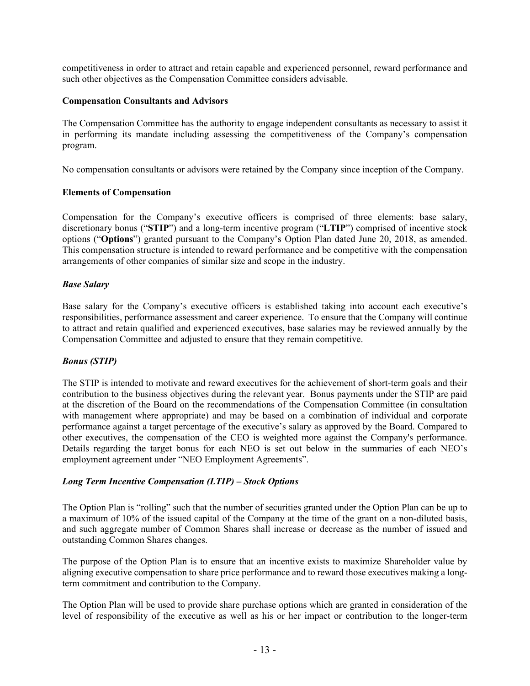competitiveness in order to attract and retain capable and experienced personnel, reward performance and such other objectives as the Compensation Committee considers advisable.

## **Compensation Consultants and Advisors**

The Compensation Committee has the authority to engage independent consultants as necessary to assist it in performing its mandate including assessing the competitiveness of the Company's compensation program.

No compensation consultants or advisors were retained by the Company since inception of the Company.

## **Elements of Compensation**

Compensation for the Company's executive officers is comprised of three elements: base salary, discretionary bonus ("**STIP**") and a long-term incentive program ("**LTIP**") comprised of incentive stock options ("**Options**") granted pursuant to the Company's Option Plan dated June 20, 2018, as amended. This compensation structure is intended to reward performance and be competitive with the compensation arrangements of other companies of similar size and scope in the industry.

# *Base Salary*

Base salary for the Company's executive officers is established taking into account each executive's responsibilities, performance assessment and career experience. To ensure that the Company will continue to attract and retain qualified and experienced executives, base salaries may be reviewed annually by the Compensation Committee and adjusted to ensure that they remain competitive.

# *Bonus (STIP)*

The STIP is intended to motivate and reward executives for the achievement of short-term goals and their contribution to the business objectives during the relevant year. Bonus payments under the STIP are paid at the discretion of the Board on the recommendations of the Compensation Committee (in consultation with management where appropriate) and may be based on a combination of individual and corporate performance against a target percentage of the executive's salary as approved by the Board. Compared to other executives, the compensation of the CEO is weighted more against the Company's performance. Details regarding the target bonus for each NEO is set out below in the summaries of each NEO's employment agreement under "NEO Employment Agreements".

# *Long Term Incentive Compensation (LTIP) – Stock Options*

The Option Plan is "rolling" such that the number of securities granted under the Option Plan can be up to a maximum of 10% of the issued capital of the Company at the time of the grant on a non-diluted basis, and such aggregate number of Common Shares shall increase or decrease as the number of issued and outstanding Common Shares changes.

The purpose of the Option Plan is to ensure that an incentive exists to maximize Shareholder value by aligning executive compensation to share price performance and to reward those executives making a longterm commitment and contribution to the Company.

The Option Plan will be used to provide share purchase options which are granted in consideration of the level of responsibility of the executive as well as his or her impact or contribution to the longer-term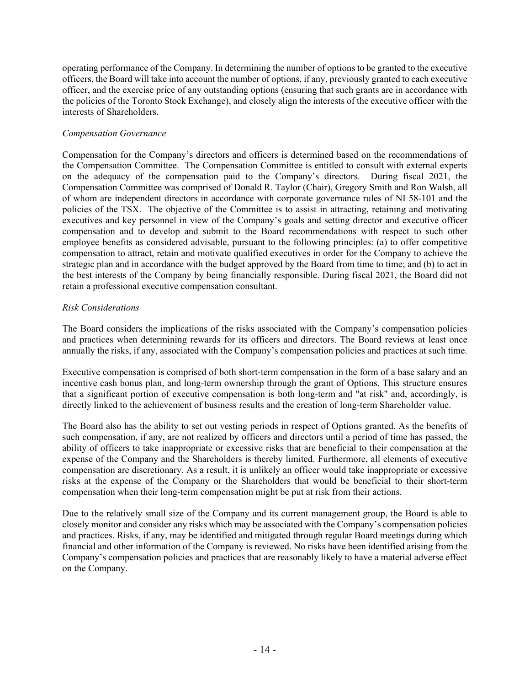operating performance of the Company. In determining the number of options to be granted to the executive officers, the Board will take into account the number of options, if any, previously granted to each executive officer, and the exercise price of any outstanding options (ensuring that such grants are in accordance with the policies of the Toronto Stock Exchange), and closely align the interests of the executive officer with the interests of Shareholders.

# *Compensation Governance*

Compensation for the Company's directors and officers is determined based on the recommendations of the Compensation Committee. The Compensation Committee is entitled to consult with external experts on the adequacy of the compensation paid to the Company's directors. During fiscal 2021, the Compensation Committee was comprised of Donald R. Taylor (Chair), Gregory Smith and Ron Walsh, all of whom are independent directors in accordance with corporate governance rules of NI 58-101 and the policies of the TSX. The objective of the Committee is to assist in attracting, retaining and motivating executives and key personnel in view of the Company's goals and setting director and executive officer compensation and to develop and submit to the Board recommendations with respect to such other employee benefits as considered advisable, pursuant to the following principles: (a) to offer competitive compensation to attract, retain and motivate qualified executives in order for the Company to achieve the strategic plan and in accordance with the budget approved by the Board from time to time; and (b) to act in the best interests of the Company by being financially responsible. During fiscal 2021, the Board did not retain a professional executive compensation consultant.

## *Risk Considerations*

The Board considers the implications of the risks associated with the Company's compensation policies and practices when determining rewards for its officers and directors. The Board reviews at least once annually the risks, if any, associated with the Company's compensation policies and practices at such time.

Executive compensation is comprised of both short-term compensation in the form of a base salary and an incentive cash bonus plan, and long-term ownership through the grant of Options. This structure ensures that a significant portion of executive compensation is both long-term and "at risk" and, accordingly, is directly linked to the achievement of business results and the creation of long-term Shareholder value.

The Board also has the ability to set out vesting periods in respect of Options granted. As the benefits of such compensation, if any, are not realized by officers and directors until a period of time has passed, the ability of officers to take inappropriate or excessive risks that are beneficial to their compensation at the expense of the Company and the Shareholders is thereby limited. Furthermore, all elements of executive compensation are discretionary. As a result, it is unlikely an officer would take inappropriate or excessive risks at the expense of the Company or the Shareholders that would be beneficial to their short-term compensation when their long-term compensation might be put at risk from their actions.

Due to the relatively small size of the Company and its current management group, the Board is able to closely monitor and consider any risks which may be associated with the Company's compensation policies and practices. Risks, if any, may be identified and mitigated through regular Board meetings during which financial and other information of the Company is reviewed. No risks have been identified arising from the Company's compensation policies and practices that are reasonably likely to have a material adverse effect on the Company.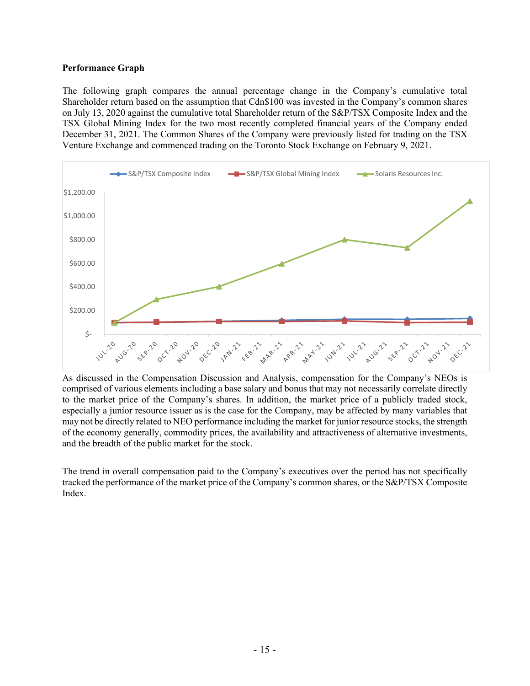## **Performance Graph**

The following graph compares the annual percentage change in the Company's cumulative total Shareholder return based on the assumption that Cdn\$100 was invested in the Company's common shares on July 13, 2020 against the cumulative total Shareholder return of the S&P/TSX Composite Index and the TSX Global Mining Index for the two most recently completed financial years of the Company ended December 31, 2021. The Common Shares of the Company were previously listed for trading on the TSX Venture Exchange and commenced trading on the Toronto Stock Exchange on February 9, 2021.



As discussed in the Compensation Discussion and Analysis, compensation for the Company's NEOs is comprised of various elements including a base salary and bonus that may not necessarily correlate directly to the market price of the Company's shares. In addition, the market price of a publicly traded stock, especially a junior resource issuer as is the case for the Company, may be affected by many variables that may not be directly related to NEO performance including the market for junior resource stocks, the strength of the economy generally, commodity prices, the availability and attractiveness of alternative investments, and the breadth of the public market for the stock.

The trend in overall compensation paid to the Company's executives over the period has not specifically tracked the performance of the market price of the Company's common shares, or the S&P/TSX Composite Index.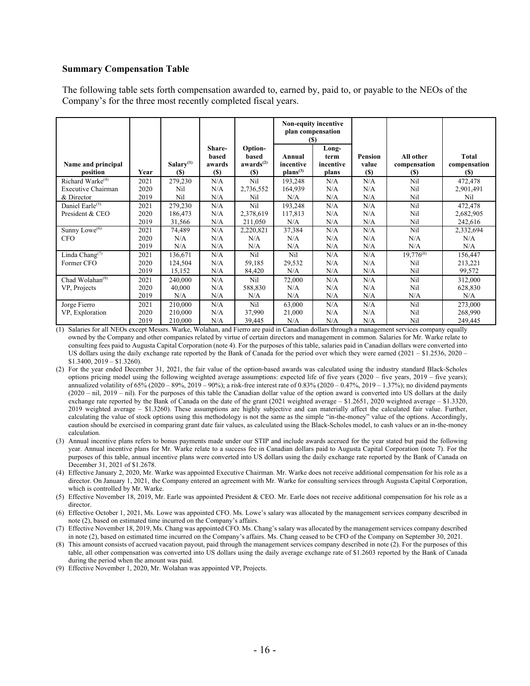#### **Summary Compensation Table**

The following table sets forth compensation awarded to, earned by, paid to, or payable to the NEOs of the Company's for the three most recently completed fiscal years.

|                                         |      |                                     |                                  |                                                  |                                             | Non-equity incentive<br>plan compensation<br><b>(\$)</b> |                         |                                  |                                            |
|-----------------------------------------|------|-------------------------------------|----------------------------------|--------------------------------------------------|---------------------------------------------|----------------------------------------------------------|-------------------------|----------------------------------|--------------------------------------------|
| Name and principal<br>position          | Year | Salary <sup>(1)</sup><br><b>(S)</b> | Share-<br>based<br>awards<br>(S) | Option-<br>based<br>awards <sup>(2)</sup><br>(S) | Annual<br>incentive<br>plans <sup>(3)</sup> | Long-<br>term<br>incentive<br>plans                      | Pension<br>value<br>(S) | All other<br>compensation<br>(S) | <b>Total</b><br>compensation<br><b>(S)</b> |
| Richard Warke <sup>(4)</sup>            | 2021 | 279,230                             | N/A                              | Nil                                              | 193,248                                     | N/A                                                      | N/A                     | Nil                              | 472,478                                    |
| Executive Chairman                      | 2020 | Nil                                 | N/A                              | 2,736,552                                        | 164,939                                     | N/A                                                      | N/A                     | Nil                              | 2,901,491                                  |
| & Director                              | 2019 | Nil                                 | N/A                              | Nil                                              | N/A                                         | N/A                                                      | N/A                     | Nil                              | Nil                                        |
| Daniel Earle <sup>(5)</sup>             | 2021 | 279,230                             | N/A                              | Nil                                              | 193,248                                     | N/A                                                      | N/A                     | Nil                              | 472,478                                    |
| President & CEO                         | 2020 | 186,473                             | N/A                              | 2,378,619                                        | 117,813                                     | N/A                                                      | N/A                     | Nil                              | 2,682,905                                  |
|                                         | 2019 | 31,566                              | N/A                              | 211,050                                          | N/A                                         | N/A                                                      | N/A                     | Nil                              | 242,616                                    |
| Sunny Lowe $^{(6)}$                     | 2021 | 74,489                              | N/A                              | 2,220,821                                        | 37,384                                      | N/A                                                      | N/A                     | Nil                              | 2,332,694                                  |
| <b>CFO</b>                              | 2020 | N/A                                 | N/A                              | N/A                                              | N/A                                         | N/A                                                      | N/A                     | N/A                              | N/A                                        |
|                                         | 2019 | N/A                                 | N/A                              | N/A                                              | N/A                                         | N/A                                                      | N/A                     | N/A                              | N/A                                        |
| Linda Chang <sup><math>(7)</math></sup> | 2021 | 136,671                             | N/A                              | Nil                                              | Nil                                         | N/A                                                      | N/A                     | $19,776^{(8)}$                   | 156,447                                    |
| Former CFO                              | 2020 | 124,504                             | N/A                              | 59,185                                           | 29,532                                      | N/A                                                      | N/A                     | Nil                              | 213,221                                    |
|                                         | 2019 | 15,152                              | N/A                              | 84,420                                           | N/A                                         | N/A                                                      | N/A                     | Nil                              | 99,572                                     |
| Chad Wolahan $(9)$                      | 2021 | 240,000                             | N/A                              | Nil                                              | 72,000                                      | N/A                                                      | N/A                     | Nil                              | 312,000                                    |
| VP, Projects                            | 2020 | 40,000                              | N/A                              | 588,830                                          | N/A                                         | N/A                                                      | N/A                     | Nil                              | 628,830                                    |
|                                         | 2019 | N/A                                 | N/A                              | N/A                                              | N/A                                         | N/A                                                      | N/A                     | N/A                              | N/A                                        |
| Jorge Fierro                            | 2021 | 210,000                             | N/A                              | Nil                                              | 63,000                                      | N/A                                                      | N/A                     | Nil                              | 273,000                                    |
| VP, Exploration                         | 2020 | 210,000                             | N/A                              | 37,990                                           | 21,000                                      | N/A                                                      | N/A                     | Nil                              | 268,990                                    |
|                                         | 2019 | 210,000                             | N/A                              | 39,445                                           | N/A                                         | N/A                                                      | N/A                     | Nil                              | 249,445                                    |

(1) Salaries for all NEOs except Messrs. Warke, Wolahan, and Fierro are paid in Canadian dollars through a management services company equally owned by the Company and other companies related by virtue of certain directors and management in common. Salaries for Mr. Warke relate to consulting fees paid to Augusta Capital Corporation (note 4). For the purposes of this table, salaries paid in Canadian dollars were converted into US dollars using the daily exchange rate reported by the Bank of Canada for the period over which they were earned (2021 – \$1.2536, 2020 – \$1.3400, 2019 – \$1.3260).

(2) For the year ended December 31, 2021, the fair value of the option-based awards was calculated using the industry standard Black-Scholes options pricing model using the following weighted average assumptions: expected life of five years (2020 – five years, 2019 – five years); annualized volatility of  $65\%$  (2020 – 89%, 2019 – 90%); a risk-free interest rate of 0.83% (2020 – 0.47%, 2019 – 1.37%); no dividend payments (2020 – nil, 2019 – nil). For the purposes of this table the Canadian dollar value of the option award is converted into US dollars at the daily exchange rate reported by the Bank of Canada on the date of the grant (2021 weighted average – \$1.2651, 2020 weighted average – \$1.3320, 2019 weighted average – \$1.3260). These assumptions are highly subjective and can materially affect the calculated fair value. Further, calculating the value of stock options using this methodology is not the same as the simple "in-the-money" value of the options. Accordingly, caution should be exercised in comparing grant date fair values, as calculated using the Black-Scholes model, to cash values or an in-the-money calculation.

(3) Annual incentive plans refers to bonus payments made under our STIP and include awards accrued for the year stated but paid the following year. Annual incentive plans for Mr. Warke relate to a success fee in Canadian dollars paid to Augusta Capital Corporation (note 7). For the purposes of this table, annual incentive plans were converted into US dollars using the daily exchange rate reported by the Bank of Canada on December 31, 2021 of \$1.2678.

(4) Effective January 2, 2020, Mr. Warke was appointed Executive Chairman. Mr. Warke does not receive additional compensation for his role as a director. On January 1, 2021, the Company entered an agreement with Mr. Warke for consulting services through Augusta Capital Corporation, which is controlled by Mr. Warke.

(5) Effective November 18, 2019, Mr. Earle was appointed President & CEO. Mr. Earle does not receive additional compensation for his role as a director.

(6) Effective October 1, 2021, Ms. Lowe was appointed CFO. Ms. Lowe's salary was allocated by the management services company described in note (2), based on estimated time incurred on the Company's affairs.

(7) Effective November 18, 2019, Ms. Chang was appointed CFO. Ms. Chang's salary was allocated by the management services company described in note (2), based on estimated time incurred on the Company's affairs. Ms. Chang ceased to be CFO of the Company on September 30, 2021.

(8) This amount consists of accrued vacation payout, paid through the management services company described in note (2). For the purposes of this table, all other compensation was converted into US dollars using the daily average exchange rate of \$1.2603 reported by the Bank of Canada during the period when the amount was paid.

(9) Effective November 1, 2020, Mr. Wolahan was appointed VP, Projects.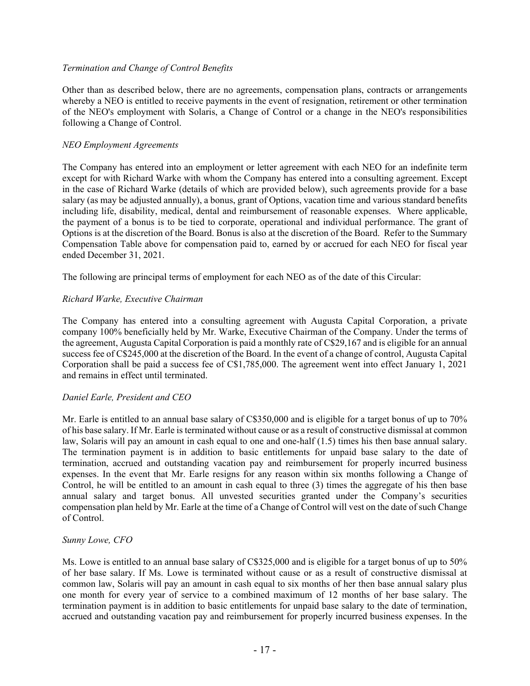## *Termination and Change of Control Benefits*

Other than as described below, there are no agreements, compensation plans, contracts or arrangements whereby a NEO is entitled to receive payments in the event of resignation, retirement or other termination of the NEO's employment with Solaris, a Change of Control or a change in the NEO's responsibilities following a Change of Control.

## *NEO Employment Agreements*

The Company has entered into an employment or letter agreement with each NEO for an indefinite term except for with Richard Warke with whom the Company has entered into a consulting agreement. Except in the case of Richard Warke (details of which are provided below), such agreements provide for a base salary (as may be adjusted annually), a bonus, grant of Options, vacation time and various standard benefits including life, disability, medical, dental and reimbursement of reasonable expenses. Where applicable, the payment of a bonus is to be tied to corporate, operational and individual performance. The grant of Options is at the discretion of the Board. Bonus is also at the discretion of the Board. Refer to the Summary Compensation Table above for compensation paid to, earned by or accrued for each NEO for fiscal year ended December 31, 2021.

The following are principal terms of employment for each NEO as of the date of this Circular:

## *Richard Warke, Executive Chairman*

The Company has entered into a consulting agreement with Augusta Capital Corporation, a private company 100% beneficially held by Mr. Warke, Executive Chairman of the Company. Under the terms of the agreement, Augusta Capital Corporation is paid a monthly rate of C\$29,167 and is eligible for an annual success fee of C\$245,000 at the discretion of the Board. In the event of a change of control, Augusta Capital Corporation shall be paid a success fee of C\$1,785,000. The agreement went into effect January 1, 2021 and remains in effect until terminated.

# *Daniel Earle, President and CEO*

Mr. Earle is entitled to an annual base salary of C\$350,000 and is eligible for a target bonus of up to 70% of his base salary. If Mr. Earle is terminated without cause or as a result of constructive dismissal at common law, Solaris will pay an amount in cash equal to one and one-half (1.5) times his then base annual salary. The termination payment is in addition to basic entitlements for unpaid base salary to the date of termination, accrued and outstanding vacation pay and reimbursement for properly incurred business expenses. In the event that Mr. Earle resigns for any reason within six months following a Change of Control, he will be entitled to an amount in cash equal to three (3) times the aggregate of his then base annual salary and target bonus. All unvested securities granted under the Company's securities compensation plan held by Mr. Earle at the time of a Change of Control will vest on the date of such Change of Control.

## *Sunny Lowe, CFO*

Ms. Lowe is entitled to an annual base salary of C\$325,000 and is eligible for a target bonus of up to 50% of her base salary. If Ms. Lowe is terminated without cause or as a result of constructive dismissal at common law, Solaris will pay an amount in cash equal to six months of her then base annual salary plus one month for every year of service to a combined maximum of 12 months of her base salary. The termination payment is in addition to basic entitlements for unpaid base salary to the date of termination, accrued and outstanding vacation pay and reimbursement for properly incurred business expenses. In the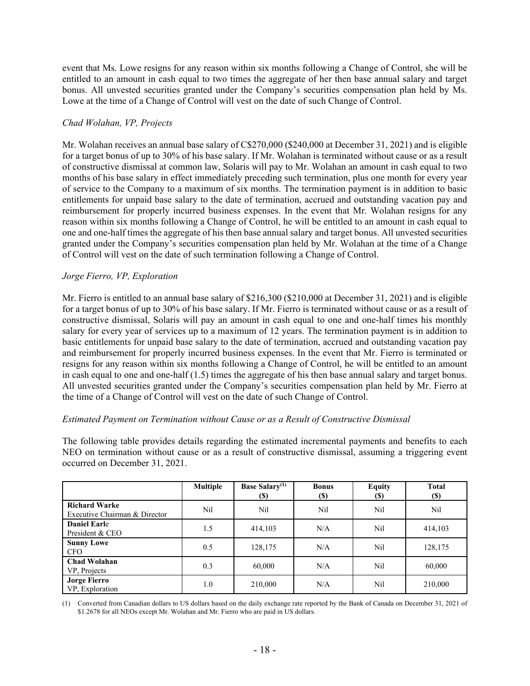event that Ms. Lowe resigns for any reason within six months following a Change of Control, she will be entitled to an amount in cash equal to two times the aggregate of her then base annual salary and target bonus. All unvested securities granted under the Company's securities compensation plan held by Ms. Lowe at the time of a Change of Control will vest on the date of such Change of Control.

## *Chad Wolahan, VP, Projects*

Mr. Wolahan receives an annual base salary of C\$270,000 (\$240,000 at December 31, 2021) and is eligible for a target bonus of up to 30% of his base salary. If Mr. Wolahan is terminated without cause or as a result of constructive dismissal at common law, Solaris will pay to Mr. Wolahan an amount in cash equal to two months of his base salary in effect immediately preceding such termination, plus one month for every year of service to the Company to a maximum of six months. The termination payment is in addition to basic entitlements for unpaid base salary to the date of termination, accrued and outstanding vacation pay and reimbursement for properly incurred business expenses. In the event that Mr. Wolahan resigns for any reason within six months following a Change of Control, he will be entitled to an amount in cash equal to one and one-half times the aggregate of his then base annual salary and target bonus. All unvested securities granted under the Company's securities compensation plan held by Mr. Wolahan at the time of a Change of Control will vest on the date of such termination following a Change of Control.

## *Jorge Fierro, VP, Exploration*

Mr. Fierro is entitled to an annual base salary of \$216,300 (\$210,000 at December 31, 2021) and is eligible for a target bonus of up to 30% of his base salary. If Mr. Fierro is terminated without cause or as a result of constructive dismissal, Solaris will pay an amount in cash equal to one and one-half times his monthly salary for every year of services up to a maximum of 12 years. The termination payment is in addition to basic entitlements for unpaid base salary to the date of termination, accrued and outstanding vacation pay and reimbursement for properly incurred business expenses. In the event that Mr. Fierro is terminated or resigns for any reason within six months following a Change of Control, he will be entitled to an amount in cash equal to one and one-half (1.5) times the aggregate of his then base annual salary and target bonus. All unvested securities granted under the Company's securities compensation plan held by Mr. Fierro at the time of a Change of Control will vest on the date of such Change of Control.

## *Estimated Payment on Termination without Cause or as a Result of Constructive Dismissal*

The following table provides details regarding the estimated incremental payments and benefits to each NEO on termination without cause or as a result of constructive dismissal, assuming a triggering event occurred on December 31, 2021.

|                                                       | <b>Multiple</b> | <b>Base Salary</b> <sup>(1)</sup><br>(S) | <b>Bonus</b><br><b>(\$)</b> | <b>Equity</b><br><b>(S)</b> | <b>Total</b><br><b>(\$)</b> |
|-------------------------------------------------------|-----------------|------------------------------------------|-----------------------------|-----------------------------|-----------------------------|
| <b>Richard Warke</b><br>Executive Chairman & Director | Nil             | Nil                                      | Nil                         | Nil                         | Nil                         |
| <b>Daniel Earle</b><br>President & CEO                | 1.5             | 414,103                                  | N/A                         | Nil                         | 414,103                     |
| <b>Sunny Lowe</b><br><b>CFO</b>                       | 0.5             | 128,175                                  | N/A                         | Nil                         | 128,175                     |
| <b>Chad Wolahan</b><br>VP, Projects                   | 0.3             | 60,000                                   | N/A                         | Nil                         | 60,000                      |
| <b>Jorge Fierro</b><br>VP, Exploration                | 1.0             | 210,000                                  | N/A                         | Nil                         | 210,000                     |

(1) Converted from Canadian dollars to US dollars based on the daily exchange rate reported by the Bank of Canada on December 31, 2021 of \$1.2678 for all NEOs except Mr. Wolahan and Mr. Fierro who are paid in US dollars.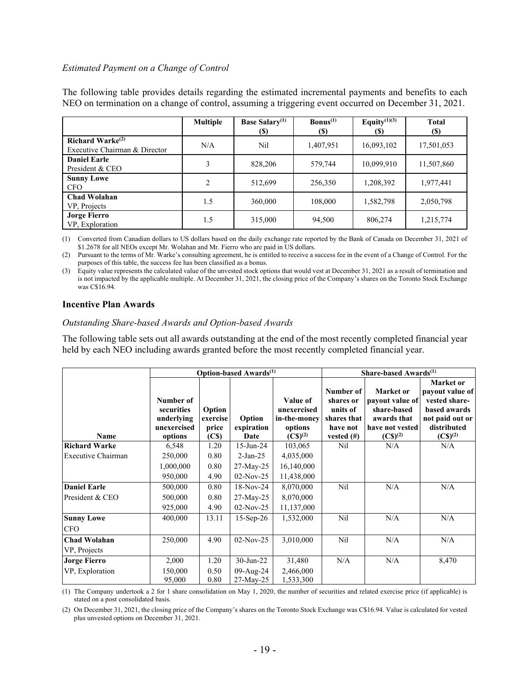#### *Estimated Payment on a Change of Control*

The following table provides details regarding the estimated incremental payments and benefits to each NEO on termination on a change of control, assuming a triggering event occurred on December 31, 2021.

|                                                         | <b>Multiple</b> | <b>Base Salary</b> <sup>(1)</sup><br>(S) | $\text{Bonus}^{(1)}$<br><b>(\$)</b> | Equity $(1)(3)$<br><b>(S)</b> | Total<br><b>(\$)</b> |
|---------------------------------------------------------|-----------------|------------------------------------------|-------------------------------------|-------------------------------|----------------------|
| Richard Warke $^{(2)}$<br>Executive Chairman & Director | N/A             | Nil                                      | 1,407,951                           | 16,093,102                    | 17,501,053           |
| <b>Daniel Earle</b><br>President & CEO                  |                 | 828,206                                  | 579,744                             | 10,099,910                    | 11,507,860           |
| <b>Sunny Lowe</b><br><b>CFO</b>                         | 2               | 512,699                                  | 256,350                             | 1,208,392                     | 1,977,441            |
| <b>Chad Wolahan</b><br>VP, Projects                     | 1.5             | 360,000                                  | 108,000                             | 1,582,798                     | 2,050,798            |
| <b>Jorge Fierro</b><br>VP, Exploration                  | 1.5             | 315,000                                  | 94,500                              | 806,274                       | 1,215,774            |

(1) Converted from Canadian dollars to US dollars based on the daily exchange rate reported by the Bank of Canada on December 31, 2021 of \$1.2678 for all NEOs except Mr. Wolahan and Mr. Fierro who are paid in US dollars.

(2) Pursuant to the terms of Mr. Warke's consulting agreement, he is entitled to receive a success fee in the event of a Change of Control. For the purposes of this table, the success fee has been classified as a bonus.

(3) Equity value represents the calculated value of the unvested stock options that would vest at December 31, 2021 as a result of termination and is not impacted by the applicable multiple. At December 31, 2021, the closing price of the Company's shares on the Toronto Stock Exchange was C\$16.94.

#### **Incentive Plan Awards**

#### *Outstanding Share-based Awards and Option-based Awards*

The following table sets out all awards outstanding at the end of the most recently completed financial year held by each NEO including awards granted before the most recently completed financial year.

|                      |                                                                 |                                                  | Option-based Awards <sup>(1)</sup> | Share-based Awards <sup>(1)</sup>                                           |                                                                                |                                                                                                          |                                                                                                                     |
|----------------------|-----------------------------------------------------------------|--------------------------------------------------|------------------------------------|-----------------------------------------------------------------------------|--------------------------------------------------------------------------------|----------------------------------------------------------------------------------------------------------|---------------------------------------------------------------------------------------------------------------------|
| Name                 | Number of<br>securities<br>underlying<br>unexercised<br>options | Option<br>exercise<br>price<br>(C <sub>s</sub> ) | Option<br>expiration<br>Date       | Value of<br>unexercised<br>in-the-money<br>options<br>$(C\mathbb{S})^{(2)}$ | Number of<br>shares or<br>units of<br>shares that<br>have not<br>vested $(\#)$ | <b>Market</b> or<br>payout value of<br>share-based<br>awards that<br>have not vested<br>$(C\$ {S})^{(2)} | Market or<br>payout value of<br>vested share-<br>based awards<br>not paid out or<br>distributed<br>$(C\$ {S})^{(2)} |
| <b>Richard Warke</b> | 6,548                                                           | 1.20                                             | 15-Jun-24                          | 103,065                                                                     | Nil                                                                            | N/A                                                                                                      | N/A                                                                                                                 |
| Executive Chairman   | 250,000                                                         | 0.80                                             | $2-Jan-25$                         | 4,035,000                                                                   |                                                                                |                                                                                                          |                                                                                                                     |
|                      | 1,000,000                                                       | 0.80                                             | 27-May-25                          | 16,140,000                                                                  |                                                                                |                                                                                                          |                                                                                                                     |
|                      | 950,000                                                         | 4.90                                             | $02-Nov-25$                        | 11,438,000                                                                  |                                                                                |                                                                                                          |                                                                                                                     |
| <b>Daniel Earle</b>  | 500,000                                                         | 0.80                                             | $18-Nov-24$                        | 8,070,000                                                                   | Nil                                                                            | N/A                                                                                                      | N/A                                                                                                                 |
| President & CEO      | 500,000                                                         | 0.80                                             | 27-May-25                          | 8,070,000                                                                   |                                                                                |                                                                                                          |                                                                                                                     |
|                      | 925,000                                                         | 4.90                                             | $02-Nov-25$                        | 11,137,000                                                                  |                                                                                |                                                                                                          |                                                                                                                     |
| <b>Sunny Lowe</b>    | 400,000                                                         | 13.11                                            | $15-Sep-26$                        | 1,532,000                                                                   | Nil                                                                            | N/A                                                                                                      | N/A                                                                                                                 |
| <b>CFO</b>           |                                                                 |                                                  |                                    |                                                                             |                                                                                |                                                                                                          |                                                                                                                     |
| <b>Chad Wolahan</b>  | 250,000                                                         | 4.90                                             | $02-Nov-25$                        | 3,010,000                                                                   | Nil                                                                            | N/A                                                                                                      | N/A                                                                                                                 |
| VP, Projects         |                                                                 |                                                  |                                    |                                                                             |                                                                                |                                                                                                          |                                                                                                                     |
| <b>Jorge Fierro</b>  | 2,000                                                           | 1.20                                             | $30$ -Jun-22                       | 31,480                                                                      | N/A                                                                            | N/A                                                                                                      | 8,470                                                                                                               |
| VP, Exploration      | 150,000                                                         | 0.50                                             | 09-Aug-24                          | 2,466,000                                                                   |                                                                                |                                                                                                          |                                                                                                                     |
|                      | 95,000                                                          | 0.80                                             | $27-May-25$                        | 1,533,300                                                                   |                                                                                |                                                                                                          |                                                                                                                     |

(1) The Company undertook a 2 for 1 share consolidation on May 1, 2020, the number of securities and related exercise price (if applicable) is stated on a post consolidated basis.

(2) On December 31, 2021, the closing price of the Company's shares on the Toronto Stock Exchange was C\$16.94. Value is calculated for vested plus unvested options on December 31, 2021.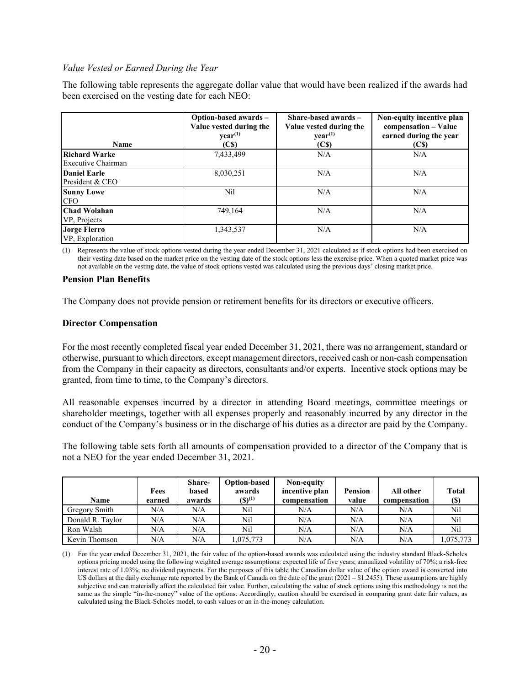#### *Value Vested or Earned During the Year*

The following table represents the aggregate dollar value that would have been realized if the awards had been exercised on the vesting date for each NEO:

| Name                                       | Option-based awards -<br>Value vested during the<br>year <sup>(1)</sup><br>(C <sub>S</sub> ) | Share-based awards -<br>Value vested during the<br>$\mathbf{vear}^{(1)}$<br>(C <sub>S</sub> ) | Non-equity incentive plan<br>compensation - Value<br>earned during the year<br>(C <sub>s</sub> ) |
|--------------------------------------------|----------------------------------------------------------------------------------------------|-----------------------------------------------------------------------------------------------|--------------------------------------------------------------------------------------------------|
| <b>Richard Warke</b><br>Executive Chairman | 7,433,499                                                                                    | N/A                                                                                           | N/A                                                                                              |
| <b>Daniel Earle</b><br>President & CEO     | 8,030,251                                                                                    | N/A                                                                                           | N/A                                                                                              |
| <b>Sunny Lowe</b><br><b>CFO</b>            | Nil                                                                                          | N/A                                                                                           | N/A                                                                                              |
| <b>Chad Wolahan</b><br>VP, Projects        | 749,164                                                                                      | N/A                                                                                           | N/A                                                                                              |
| <b>Jorge Fierro</b><br>VP, Exploration     | 1,343,537                                                                                    | N/A                                                                                           | N/A                                                                                              |

(1) Represents the value of stock options vested during the year ended December 31, 2021 calculated as if stock options had been exercised on their vesting date based on the market price on the vesting date of the stock options less the exercise price. When a quoted market price was not available on the vesting date, the value of stock options vested was calculated using the previous days' closing market price.

#### **Pension Plan Benefits**

The Company does not provide pension or retirement benefits for its directors or executive officers.

#### **Director Compensation**

For the most recently completed fiscal year ended December 31, 2021, there was no arrangement, standard or otherwise, pursuant to which directors, except management directors, received cash or non-cash compensation from the Company in their capacity as directors, consultants and/or experts. Incentive stock options may be granted, from time to time, to the Company's directors.

All reasonable expenses incurred by a director in attending Board meetings, committee meetings or shareholder meetings, together with all expenses properly and reasonably incurred by any director in the conduct of the Company's business or in the discharge of his duties as a director are paid by the Company.

The following table sets forth all amounts of compensation provided to a director of the Company that is not a NEO for the year ended December 31, 2021.

| Name             | Fees<br>earned | Share-<br>based<br>awards | <b>Option-based</b><br>awards<br>$(S)^{(1)}$ | Non-equity<br>incentive plan<br>compensation | Pension<br>value | All other<br>compensation | Total<br>(S) |
|------------------|----------------|---------------------------|----------------------------------------------|----------------------------------------------|------------------|---------------------------|--------------|
| Gregory Smith    | N/A            | N/A                       | Nil                                          | N/A                                          | N/A              | N/A                       | Nil          |
| Donald R. Taylor | N/A            | N/A                       | Nil                                          | N/A                                          | N/A              | N/A                       | Nil          |
| Ron Walsh        | N/A            | N/A                       | Nil                                          | N/A                                          | N/A              | N/A                       | Nil          |
| Kevin Thomson    | N/A            | N/A                       | 1,075,773                                    | N/A                                          | N/A              | N/A                       | 1,075,773    |

<sup>(1)</sup> For the year ended December 31, 2021, the fair value of the option-based awards was calculated using the industry standard Black-Scholes options pricing model using the following weighted average assumptions: expected life of five years; annualized volatility of 70%; a risk-free interest rate of 1.03%; no dividend payments. For the purposes of this table the Canadian dollar value of the option award is converted into US dollars at the daily exchange rate reported by the Bank of Canada on the date of the grant  $(2021 - $1.2455)$ . These assumptions are highly subjective and can materially affect the calculated fair value. Further, calculating the value of stock options using this methodology is not the same as the simple "in-the-money" value of the options. Accordingly, caution should be exercised in comparing grant date fair values, as calculated using the Black-Scholes model, to cash values or an in-the-money calculation.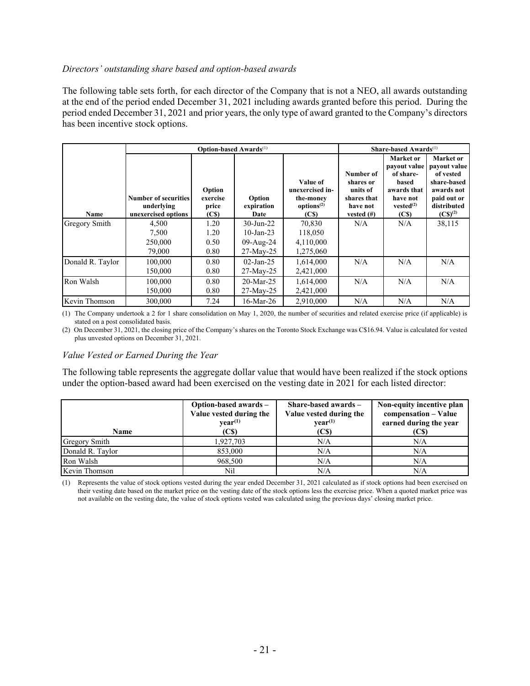## *Directors' outstanding share based and option-based awards*

The following table sets forth, for each director of the Company that is not a NEO, all awards outstanding at the end of the period ended December 31, 2021 including awards granted before this period. During the period ended December 31, 2021 and prior years, the only type of award granted to the Company's directors has been incentive stock options.

|                  |                                                                  | <b>Option-based Awards</b> <sup>(1)</sup>        |                              |                                                                    |                                                                             | Share-based Awards $^{(1)}$                                                                                              |                                                                                                                            |
|------------------|------------------------------------------------------------------|--------------------------------------------------|------------------------------|--------------------------------------------------------------------|-----------------------------------------------------------------------------|--------------------------------------------------------------------------------------------------------------------------|----------------------------------------------------------------------------------------------------------------------------|
| Name             | <b>Number of securities</b><br>underlying<br>unexercised options | Option<br>exercise<br>price<br>(C <sub>s</sub> ) | Option<br>expiration<br>Date | Value of<br>unexercised in-<br>the-money<br>options $(2)$<br>(C\$) | Number of<br>shares or<br>units of<br>shares that<br>have not<br>vested (#) | Market or<br>payout value<br>of share-<br>based<br>awards that<br>have not<br>vested <sup>(2)</sup><br>(C <sub>s</sub> ) | Market or<br>payout value<br>of vested<br>share-based<br>awards not<br>paid out or<br>distributed<br>$(C\mathbb{S})^{(2)}$ |
| Gregory Smith    | 4,500                                                            | 1.20                                             | $30$ -Jun-22                 | 70,830                                                             | N/A                                                                         | N/A                                                                                                                      | 38,115                                                                                                                     |
|                  | 7,500                                                            | 1.20                                             | $10$ -Jan-23                 | 118,050                                                            |                                                                             |                                                                                                                          |                                                                                                                            |
|                  | 250,000                                                          | 0.50                                             | $09$ -Aug-24                 | 4,110,000                                                          |                                                                             |                                                                                                                          |                                                                                                                            |
|                  | 79,000                                                           | 0.80                                             | $27$ -May-25                 | 1,275,060                                                          |                                                                             |                                                                                                                          |                                                                                                                            |
| Donald R. Taylor | 100,000                                                          | 0.80                                             | $02$ -Jan-25                 | 1,614,000                                                          | N/A                                                                         | N/A                                                                                                                      | N/A                                                                                                                        |
|                  | 150,000                                                          | 0.80                                             | $27-May-25$                  | 2,421,000                                                          |                                                                             |                                                                                                                          |                                                                                                                            |
| Ron Walsh        | 100,000                                                          | 0.80                                             | $20$ -Mar-25                 | 1,614,000                                                          | N/A                                                                         | N/A                                                                                                                      | N/A                                                                                                                        |
|                  | 150,000                                                          | 0.80                                             | $27$ -May- $25$              | 2,421,000                                                          |                                                                             |                                                                                                                          |                                                                                                                            |
| Kevin Thomson    | 300,000                                                          | 7.24                                             | $16$ -Mar-26                 | 2,910,000                                                          | N/A                                                                         | N/A                                                                                                                      | N/A                                                                                                                        |

(1) The Company undertook a 2 for 1 share consolidation on May 1, 2020, the number of securities and related exercise price (if applicable) is stated on a post consolidated basis.

(2) On December 31, 2021, the closing price of the Company's shares on the Toronto Stock Exchange was C\$16.94. Value is calculated for vested plus unvested options on December 31, 2021.

#### *Value Vested or Earned During the Year*

The following table represents the aggregate dollar value that would have been realized if the stock options under the option-based award had been exercised on the vesting date in 2021 for each listed director:

| Name                 | Option-based awards -<br>Value vested during the<br>year <sup>(1)</sup><br>(CS) | Share-based awards $-$<br>Value vested during the<br>$\mathbf{vear}^{(1)}$<br>(C <sub>s</sub> ) | Non-equity incentive plan<br>compensation - Value<br>earned during the year<br>(C\$) |
|----------------------|---------------------------------------------------------------------------------|-------------------------------------------------------------------------------------------------|--------------------------------------------------------------------------------------|
| <b>Gregory Smith</b> | 1,927,703                                                                       | N/A                                                                                             | N/A                                                                                  |
| Donald R. Taylor     | 853,000                                                                         | N/A                                                                                             | N/A                                                                                  |
| Ron Walsh            | 968,500                                                                         | N/A                                                                                             | N/A                                                                                  |
| Kevin Thomson        | Nil                                                                             | N/A                                                                                             | N/A                                                                                  |

(1) Represents the value of stock options vested during the year ended December 31, 2021 calculated as if stock options had been exercised on their vesting date based on the market price on the vesting date of the stock options less the exercise price. When a quoted market price was not available on the vesting date, the value of stock options vested was calculated using the previous days' closing market price.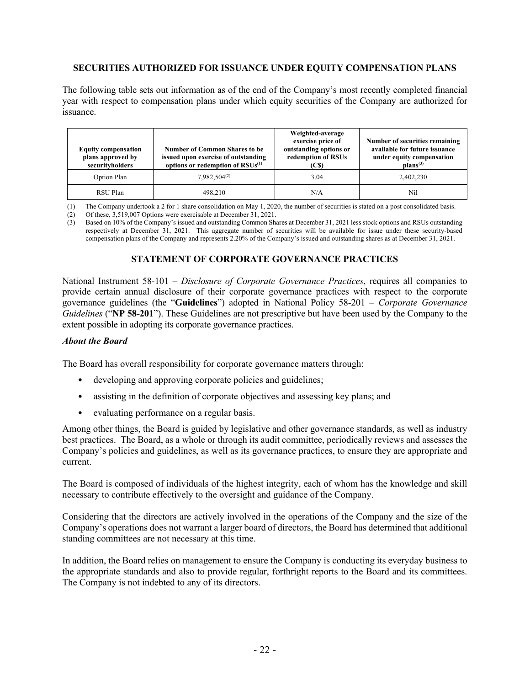## **SECURITIES AUTHORIZED FOR ISSUANCE UNDER EQUITY COMPENSATION PLANS**

The following table sets out information as of the end of the Company's most recently completed financial year with respect to compensation plans under which equity securities of the Company are authorized for issuance.

| <b>Equity compensation</b><br>plans approved by<br>securityholders | <b>Number of Common Shares to be</b><br>issued upon exercise of outstanding<br>options or redemption of $RSUs(1)$ | Weighted-average<br>exercise price of<br>outstanding options or<br>redemption of RSUs<br>(C\$) | Number of securities remaining<br>available for future issuance<br>under equity compensation<br>$\mathbf{plans}^{(3)}$ |
|--------------------------------------------------------------------|-------------------------------------------------------------------------------------------------------------------|------------------------------------------------------------------------------------------------|------------------------------------------------------------------------------------------------------------------------|
| Option Plan                                                        | $7.982.504^{(2)}$                                                                                                 | 3.04                                                                                           | 2,402,230                                                                                                              |
| RSU Plan                                                           | 498.210                                                                                                           | N/A                                                                                            | Nil                                                                                                                    |

(1) The Company undertook a 2 for 1 share consolidation on May 1, 2020, the number of securities is stated on a post consolidated basis.

(2) Of these, 3,519,007 Options were exercisable at December 31, 2021.

(3) Based on 10% of the Company's issued and outstanding Common Shares at December 31, 2021 less stock options and RSUs outstanding respectively at December 31, 2021. This aggregate number of securities will be available for issue under these security-based compensation plans of the Company and represents 2.20% of the Company's issued and outstanding shares as at December 31, 2021.

## **STATEMENT OF CORPORATE GOVERNANCE PRACTICES**

National Instrument 58-101 – *Disclosure of Corporate Governance Practices*, requires all companies to provide certain annual disclosure of their corporate governance practices with respect to the corporate governance guidelines (the "**Guidelines**") adopted in National Policy 58-201 – *Corporate Governance Guidelines* ("**NP 58-201**"). These Guidelines are not prescriptive but have been used by the Company to the extent possible in adopting its corporate governance practices.

#### *About the Board*

The Board has overall responsibility for corporate governance matters through:

- developing and approving corporate policies and guidelines;
- assisting in the definition of corporate objectives and assessing key plans; and
- evaluating performance on a regular basis.

Among other things, the Board is guided by legislative and other governance standards, as well as industry best practices. The Board, as a whole or through its audit committee, periodically reviews and assesses the Company's policies and guidelines, as well as its governance practices, to ensure they are appropriate and current.

The Board is composed of individuals of the highest integrity, each of whom has the knowledge and skill necessary to contribute effectively to the oversight and guidance of the Company.

Considering that the directors are actively involved in the operations of the Company and the size of the Company's operations does not warrant a larger board of directors, the Board has determined that additional standing committees are not necessary at this time.

In addition, the Board relies on management to ensure the Company is conducting its everyday business to the appropriate standards and also to provide regular, forthright reports to the Board and its committees. The Company is not indebted to any of its directors.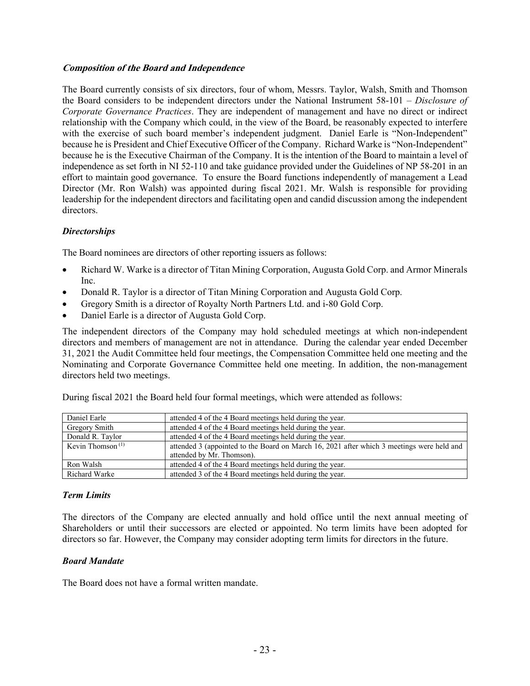## **Composition of the Board and Independence**

The Board currently consists of six directors, four of whom, Messrs. Taylor, Walsh, Smith and Thomson the Board considers to be independent directors under the National Instrument 58-101 – *Disclosure of Corporate Governance Practices*. They are independent of management and have no direct or indirect relationship with the Company which could, in the view of the Board, be reasonably expected to interfere with the exercise of such board member's independent judgment. Daniel Earle is "Non-Independent" because he is President and Chief Executive Officer of the Company. Richard Warke is "Non-Independent" because he is the Executive Chairman of the Company. It is the intention of the Board to maintain a level of independence as set forth in NI 52-110 and take guidance provided under the Guidelines of NP 58-201 in an effort to maintain good governance. To ensure the Board functions independently of management a Lead Director (Mr. Ron Walsh) was appointed during fiscal 2021. Mr. Walsh is responsible for providing leadership for the independent directors and facilitating open and candid discussion among the independent directors.

## *Directorships*

The Board nominees are directors of other reporting issuers as follows:

- Richard W. Warke is a director of Titan Mining Corporation, Augusta Gold Corp. and Armor Minerals Inc.
- Donald R. Taylor is a director of Titan Mining Corporation and Augusta Gold Corp.
- Gregory Smith is a director of Royalty North Partners Ltd. and i-80 Gold Corp.
- Daniel Earle is a director of Augusta Gold Corp.

The independent directors of the Company may hold scheduled meetings at which non-independent directors and members of management are not in attendance. During the calendar year ended December 31, 2021 the Audit Committee held four meetings, the Compensation Committee held one meeting and the Nominating and Corporate Governance Committee held one meeting. In addition, the non-management directors held two meetings.

| Daniel Earle        | attended 4 of the 4 Board meetings held during the year.                                  |  |
|---------------------|-------------------------------------------------------------------------------------------|--|
| Gregory Smith       | attended 4 of the 4 Board meetings held during the year.                                  |  |
| Donald R. Taylor    | attended 4 of the 4 Board meetings held during the year.                                  |  |
| Kevin Thomson $(1)$ | attended 3 (appointed to the Board on March 16, 2021 after which 3 meetings were held and |  |
|                     | attended by Mr. Thomson).                                                                 |  |
| Ron Walsh           | attended 4 of the 4 Board meetings held during the year.                                  |  |
| Richard Warke       | attended 3 of the 4 Board meetings held during the year.                                  |  |

During fiscal 2021 the Board held four formal meetings, which were attended as follows:

# *Term Limits*

The directors of the Company are elected annually and hold office until the next annual meeting of Shareholders or until their successors are elected or appointed. No term limits have been adopted for directors so far. However, the Company may consider adopting term limits for directors in the future.

# *Board Mandate*

The Board does not have a formal written mandate.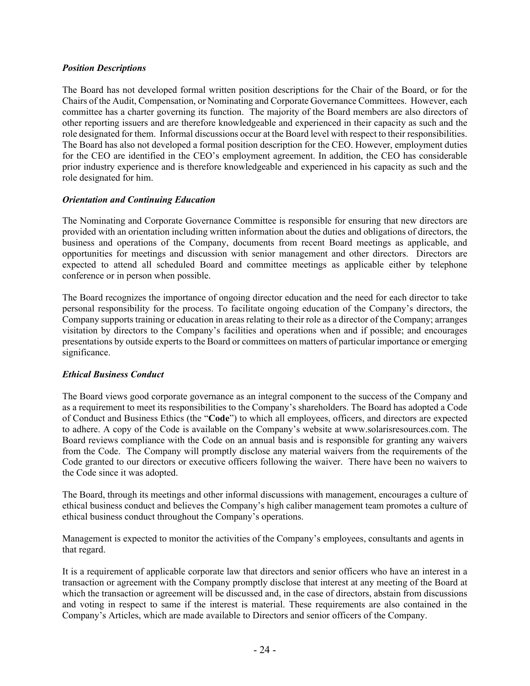## *Position Descriptions*

The Board has not developed formal written position descriptions for the Chair of the Board, or for the Chairs of the Audit, Compensation, or Nominating and Corporate Governance Committees. However, each committee has a charter governing its function. The majority of the Board members are also directors of other reporting issuers and are therefore knowledgeable and experienced in their capacity as such and the role designated for them. Informal discussions occur at the Board level with respect to their responsibilities. The Board has also not developed a formal position description for the CEO. However, employment duties for the CEO are identified in the CEO's employment agreement. In addition, the CEO has considerable prior industry experience and is therefore knowledgeable and experienced in his capacity as such and the role designated for him.

## *Orientation and Continuing Education*

The Nominating and Corporate Governance Committee is responsible for ensuring that new directors are provided with an orientation including written information about the duties and obligations of directors, the business and operations of the Company, documents from recent Board meetings as applicable, and opportunities for meetings and discussion with senior management and other directors. Directors are expected to attend all scheduled Board and committee meetings as applicable either by telephone conference or in person when possible.

The Board recognizes the importance of ongoing director education and the need for each director to take personal responsibility for the process. To facilitate ongoing education of the Company's directors, the Company supports training or education in areas relating to their role as a director of the Company; arranges visitation by directors to the Company's facilities and operations when and if possible; and encourages presentations by outside experts to the Board or committees on matters of particular importance or emerging significance.

# *Ethical Business Conduct*

The Board views good corporate governance as an integral component to the success of the Company and as a requirement to meet its responsibilities to the Company's shareholders. The Board has adopted a Code of Conduct and Business Ethics (the "**Code**") to which all employees, officers, and directors are expected to adhere. A copy of the Code is available on the Company's website at www.solarisresources.com. The Board reviews compliance with the Code on an annual basis and is responsible for granting any waivers from the Code. The Company will promptly disclose any material waivers from the requirements of the Code granted to our directors or executive officers following the waiver. There have been no waivers to the Code since it was adopted.

The Board, through its meetings and other informal discussions with management, encourages a culture of ethical business conduct and believes the Company's high caliber management team promotes a culture of ethical business conduct throughout the Company's operations.

Management is expected to monitor the activities of the Company's employees, consultants and agents in that regard.

It is a requirement of applicable corporate law that directors and senior officers who have an interest in a transaction or agreement with the Company promptly disclose that interest at any meeting of the Board at which the transaction or agreement will be discussed and, in the case of directors, abstain from discussions and voting in respect to same if the interest is material. These requirements are also contained in the Company's Articles, which are made available to Directors and senior officers of the Company.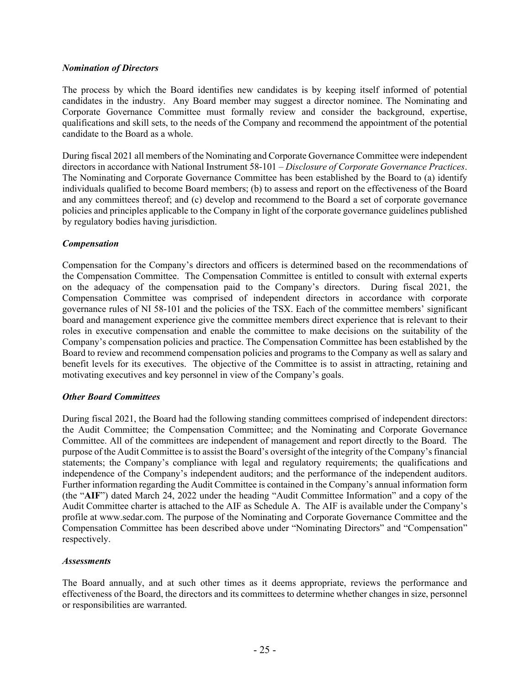## *Nomination of Directors*

The process by which the Board identifies new candidates is by keeping itself informed of potential candidates in the industry. Any Board member may suggest a director nominee. The Nominating and Corporate Governance Committee must formally review and consider the background, expertise, qualifications and skill sets, to the needs of the Company and recommend the appointment of the potential candidate to the Board as a whole.

During fiscal 2021 all members of the Nominating and Corporate Governance Committee were independent directors in accordance with National Instrument 58-101 – *Disclosure of Corporate Governance Practices*. The Nominating and Corporate Governance Committee has been established by the Board to (a) identify individuals qualified to become Board members; (b) to assess and report on the effectiveness of the Board and any committees thereof; and (c) develop and recommend to the Board a set of corporate governance policies and principles applicable to the Company in light of the corporate governance guidelines published by regulatory bodies having jurisdiction.

## *Compensation*

Compensation for the Company's directors and officers is determined based on the recommendations of the Compensation Committee. The Compensation Committee is entitled to consult with external experts on the adequacy of the compensation paid to the Company's directors. During fiscal 2021, the Compensation Committee was comprised of independent directors in accordance with corporate governance rules of NI 58-101 and the policies of the TSX. Each of the committee members' significant board and management experience give the committee members direct experience that is relevant to their roles in executive compensation and enable the committee to make decisions on the suitability of the Company's compensation policies and practice. The Compensation Committee has been established by the Board to review and recommend compensation policies and programs to the Company as well as salary and benefit levels for its executives. The objective of the Committee is to assist in attracting, retaining and motivating executives and key personnel in view of the Company's goals.

#### *Other Board Committees*

During fiscal 2021, the Board had the following standing committees comprised of independent directors: the Audit Committee; the Compensation Committee; and the Nominating and Corporate Governance Committee. All of the committees are independent of management and report directly to the Board. The purpose of the Audit Committee is to assist the Board's oversight of the integrity of the Company's financial statements; the Company's compliance with legal and regulatory requirements; the qualifications and independence of the Company's independent auditors; and the performance of the independent auditors. Further information regarding the Audit Committee is contained in the Company's annual information form (the "**AIF**") dated March 24, 2022 under the heading "Audit Committee Information" and a copy of the Audit Committee charter is attached to the AIF as Schedule A. The AIF is available under the Company's profile at www.sedar.com. The purpose of the Nominating and Corporate Governance Committee and the Compensation Committee has been described above under "Nominating Directors" and "Compensation" respectively.

#### *Assessments*

The Board annually, and at such other times as it deems appropriate, reviews the performance and effectiveness of the Board, the directors and its committees to determine whether changes in size, personnel or responsibilities are warranted.